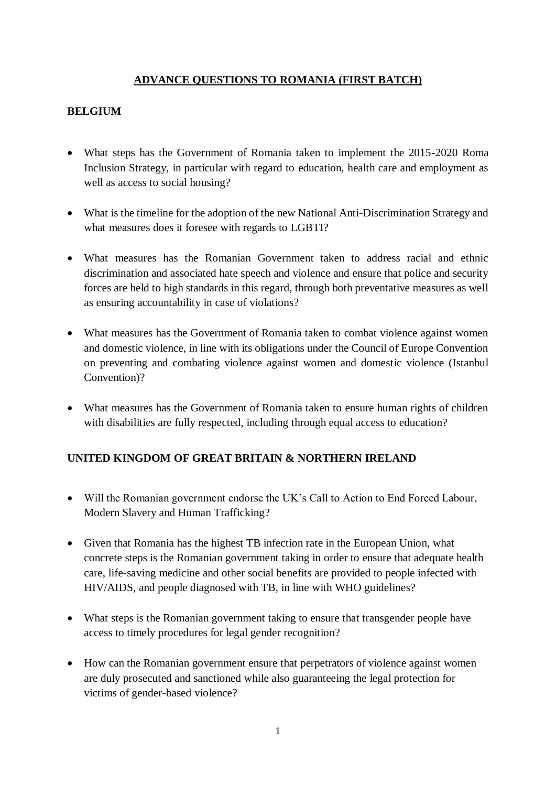# **ADVANCE QUESTIONS TO ROMANIA (FIRST BATCH)**

#### **BELGIUM**

- What steps has the Government of Romania taken to implement the 2015-2020 Roma Inclusion Strategy, in particular with regard to education, health care and employment as well as access to social housing?
- What is the timeline for the adoption of the new National Anti-Discrimination Strategy and what measures does it foresee with regards to LGBTI?
- What measures has the Romanian Government taken to address racial and ethnic discrimination and associated hate speech and violence and ensure that police and security forces are held to high standards in this regard, through both preventative measures as well as ensuring accountability in case of violations?
- What measures has the Government of Romania taken to combat violence against women and domestic violence, in line with its obligations under the Council of Europe Convention on preventing and combating violence against women and domestic violence (Istanbul Convention)?
- What measures has the Government of Romania taken to ensure human rights of children with disabilities are fully respected, including through equal access to education?

## **UNITED KINGDOM OF GREAT BRITAIN & NORTHERN IRELAND**

- Will the Romanian government endorse the UK's Call to Action to End Forced Labour, Modern Slavery and Human Trafficking?
- Given that Romania has the highest TB infection rate in the European Union, what concrete steps is the Romanian government taking in order to ensure that adequate health care, life-saving medicine and other social benefits are provided to people infected with HIV/AIDS, and people diagnosed with TB, in line with WHO guidelines?
- What steps is the Romanian government taking to ensure that transgender people have access to timely procedures for legal gender recognition?
- How can the Romanian government ensure that perpetrators of violence against women are duly prosecuted and sanctioned while also guaranteeing the legal protection for victims of gender-based violence?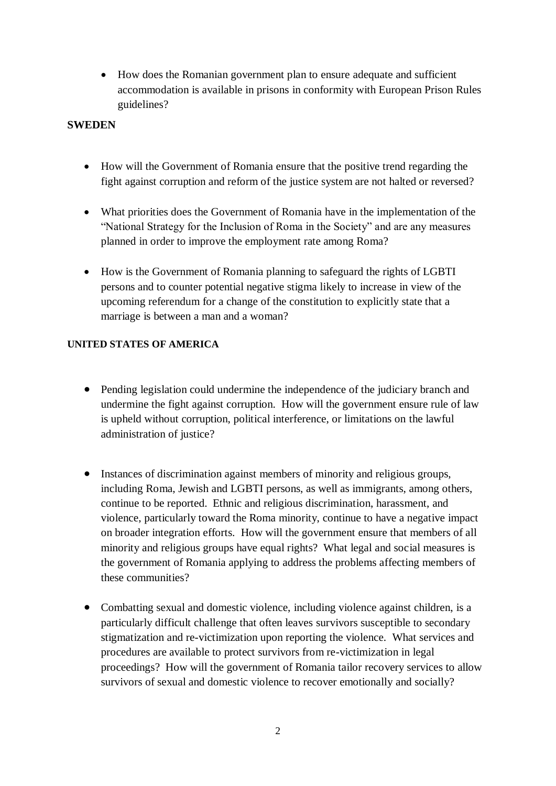• How does the Romanian government plan to ensure adequate and sufficient accommodation is available in prisons in conformity with European Prison Rules guidelines?

#### **SWEDEN**

- How will the Government of Romania ensure that the positive trend regarding the fight against corruption and reform of the justice system are not halted or reversed?
- What priorities does the Government of Romania have in the implementation of the "National Strategy for the Inclusion of Roma in the Society" and are any measures planned in order to improve the employment rate among Roma?
- How is the Government of Romania planning to safeguard the rights of LGBTI persons and to counter potential negative stigma likely to increase in view of the upcoming referendum for a change of the constitution to explicitly state that a marriage is between a man and a woman?

#### **UNITED STATES OF AMERICA**

- Pending legislation could undermine the independence of the judiciary branch and undermine the fight against corruption. How will the government ensure rule of law is upheld without corruption, political interference, or limitations on the lawful administration of justice?
- Instances of discrimination against members of minority and religious groups, including Roma, Jewish and LGBTI persons, as well as immigrants, among others, continue to be reported. Ethnic and religious discrimination, harassment, and violence, particularly toward the Roma minority, continue to have a negative impact on broader integration efforts. How will the government ensure that members of all minority and religious groups have equal rights? What legal and social measures is the government of Romania applying to address the problems affecting members of these communities?
- Combatting sexual and domestic violence, including violence against children, is a particularly difficult challenge that often leaves survivors susceptible to secondary stigmatization and re-victimization upon reporting the violence. What services and procedures are available to protect survivors from re-victimization in legal proceedings? How will the government of Romania tailor recovery services to allow survivors of sexual and domestic violence to recover emotionally and socially?